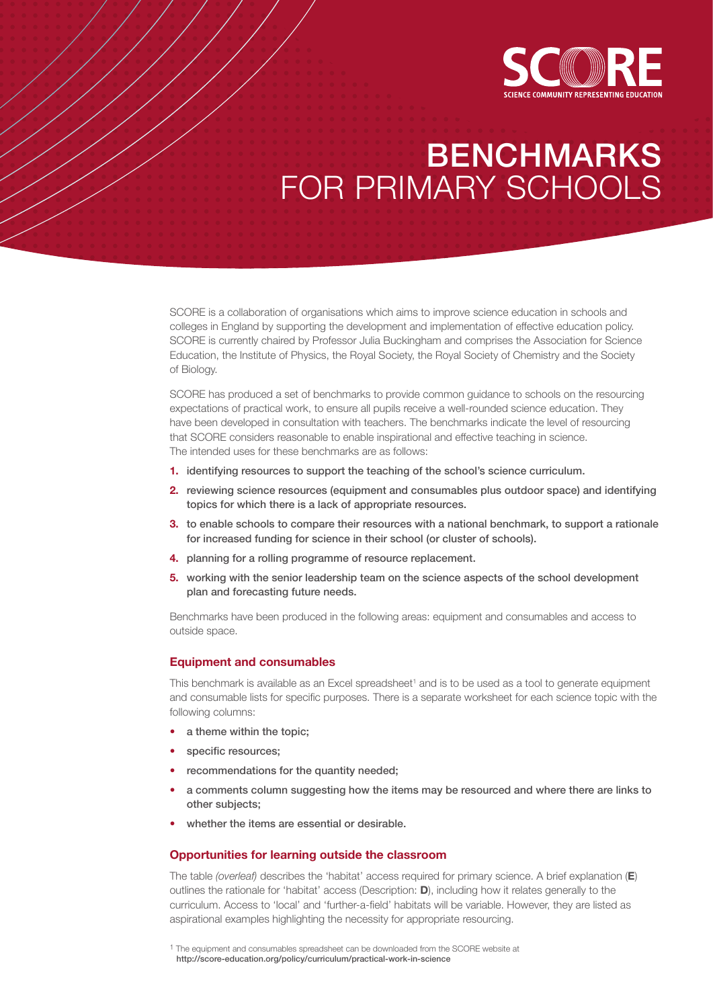

# BENCHMARKS FOR PRIMARY SCHOOLS

SCORE is a collaboration of organisations which aims to improve science education in schools and colleges in England by supporting the development and implementation of effective education policy. SCORE is currently chaired by Professor Julia Buckingham and comprises the Association for Science Education, the Institute of Physics, the Royal Society, the Royal Society of Chemistry and the Society of Biology.

SCORE has produced a set of benchmarks to provide common guidance to schools on the resourcing expectations of practical work, to ensure all pupils receive a well-rounded science education. They have been developed in consultation with teachers. The benchmarks indicate the level of resourcing that SCORE considers reasonable to enable inspirational and effective teaching in science. The intended uses for these benchmarks are as follows:

- **1.** identifying resources to support the teaching of the school's science curriculum.
- **2.** reviewing science resources (equipment and consumables plus outdoor space) and identifying topics for which there is a lack of appropriate resources.
- **3.** to enable schools to compare their resources with a national benchmark, to support a rationale for increased funding for science in their school (or cluster of schools).
- **4.** planning for a rolling programme of resource replacement.
- **5.** working with the senior leadership team on the science aspects of the school development plan and forecasting future needs.

Benchmarks have been produced in the following areas: equipment and consumables and access to outside space.

#### **Equipment and consumables**

This benchmark is available as an Excel spreadsheet<sup>1</sup> and is to be used as a tool to generate equipment and consumable lists for specific purposes. There is a separate worksheet for each science topic with the following columns:

- a theme within the topic:
- specific resources;
- recommendations for the quantity needed;
- a comments column suggesting how the items may be resourced and where there are links to other subjects;
- whether the items are essential or desirable.

## **Opportunities for learning outside the classroom**

The table *(overleaf)* describes the 'habitat' access required for primary science. A brief explanation (**E**) outlines the rationale for 'habitat' access (Description: **D**), including how it relates generally to the curriculum. Access to 'local' and 'further-a-field' habitats will be variable. However, they are listed as aspirational examples highlighting the necessity for appropriate resourcing.

<sup>&</sup>lt;sup>1</sup> The equipment and consumables spreadsheet can be downloaded from the SCORE website at http://score-education.org/policy/curriculum/practical-work-in-science